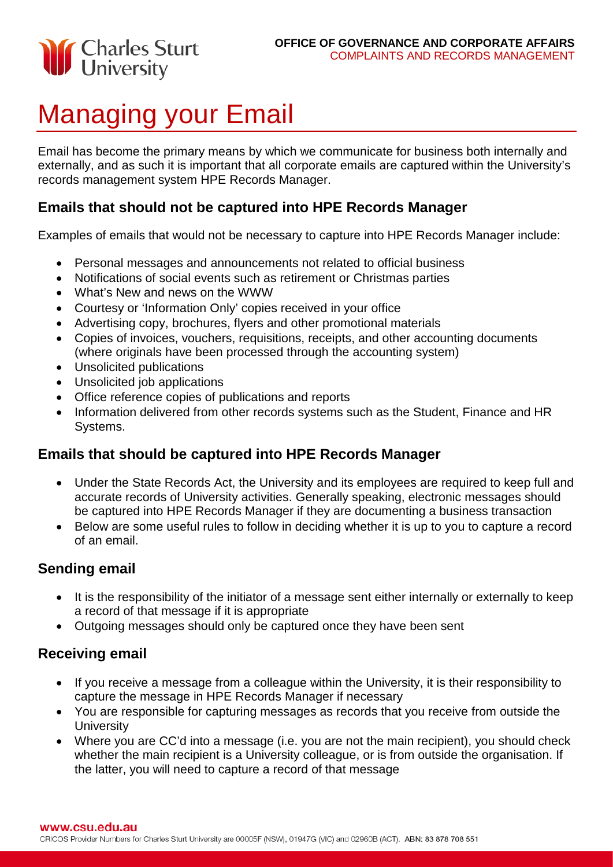

# Managing your Email

Email has become the primary means by which we communicate for business both internally and externally, and as such it is important that all corporate emails are captured within the University's records management system HPE Records Manager.

### **Emails that should not be captured into HPE Records Manager**

Examples of emails that would not be necessary to capture into HPE Records Manager include:

- Personal messages and announcements not related to official business
- Notifications of social events such as retirement or Christmas parties
- What's New and news on the WWW
- Courtesy or 'Information Only' copies received in your office
- Advertising copy, brochures, flyers and other promotional materials
- Copies of invoices, vouchers, requisitions, receipts, and other accounting documents (where originals have been processed through the accounting system)
- Unsolicited publications
- Unsolicited job applications
- Office reference copies of publications and reports
- Information delivered from other records systems such as the Student, Finance and HR Systems.

## **Emails that should be captured into HPE Records Manager**

- Under the State Records Act, the University and its employees are required to keep full and accurate records of University activities. Generally speaking, electronic messages should be captured into HPE Records Manager if they are documenting a business transaction
- Below are some useful rules to follow in deciding whether it is up to you to capture a record of an email.

## **Sending email**

- It is the responsibility of the initiator of a message sent either internally or externally to keep a record of that message if it is appropriate
- Outgoing messages should only be captured once they have been sent

#### **Receiving email**

- If you receive a message from a colleague within the University, it is their responsibility to capture the message in HPE Records Manager if necessary
- You are responsible for capturing messages as records that you receive from outside the **University**
- Where you are CC'd into a message (i.e. you are not the main recipient), you should check whether the main recipient is a University colleague, or is from outside the organisation. If the latter, you will need to capture a record of that message